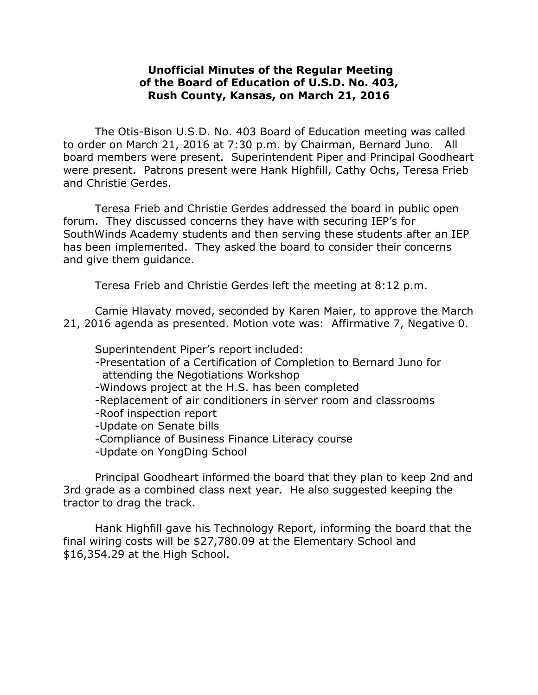## **Unofficial Minutes of the Regular Meeting of the Board of Education of U.S.D. No. 403, Rush County, Kansas, on March 21, 2016**

The Otis-Bison U.S.D. No. 403 Board of Education meeting was called to order on March 21, 2016 at 7:30 p.m. by Chairman, Bernard Juno. All board members were present. Superintendent Piper and Principal Goodheart were present. Patrons present were Hank Highfill, Cathy Ochs, Teresa Frieb and Christie Gerdes.

Teresa Frieb and Christie Gerdes addressed the board in public open forum. They discussed concerns they have with securing IEP's for SouthWinds Academy students and then serving these students after an IEP has been implemented. They asked the board to consider their concerns and give them guidance.

Teresa Frieb and Christie Gerdes left the meeting at 8:12 p.m.

Camie Hlavaty moved, seconded by Karen Maier, to approve the March 21, 2016 agenda as presented. Motion vote was: Affirmative 7, Negative 0.

Superintendent Piper's report included:

- -Presentation of a Certification of Completion to Bernard Juno for attending the Negotiations Workshop
- -Windows project at the H.S. has been completed
- -Replacement of air conditioners in server room and classrooms
- -Roof inspection report
- -Update on Senate bills
- -Compliance of Business Finance Literacy course
- -Update on YongDing School

Principal Goodheart informed the board that they plan to keep 2nd and 3rd grade as a combined class next year. He also suggested keeping the tractor to drag the track.

Hank Highfill gave his Technology Report, informing the board that the final wiring costs will be \$27,780.09 at the Elementary School and \$16,354.29 at the High School.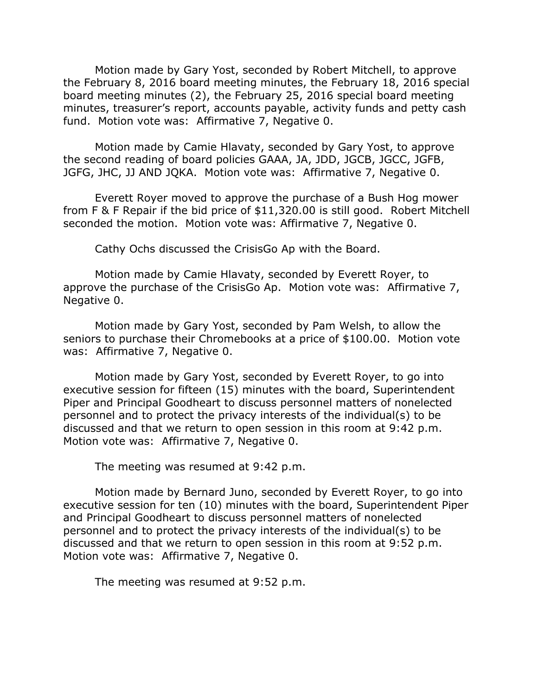Motion made by Gary Yost, seconded by Robert Mitchell, to approve the February 8, 2016 board meeting minutes, the February 18, 2016 special board meeting minutes (2), the February 25, 2016 special board meeting minutes, treasurer's report, accounts payable, activity funds and petty cash fund. Motion vote was: Affirmative 7, Negative 0.

Motion made by Camie Hlavaty, seconded by Gary Yost, to approve the second reading of board policies GAAA, JA, JDD, JGCB, JGCC, JGFB, JGFG, JHC, JJ AND JQKA. Motion vote was: Affirmative 7, Negative 0.

Everett Royer moved to approve the purchase of a Bush Hog mower from F & F Repair if the bid price of \$11,320.00 is still good. Robert Mitchell seconded the motion. Motion vote was: Affirmative 7, Negative 0.

Cathy Ochs discussed the CrisisGo Ap with the Board.

Motion made by Camie Hlavaty, seconded by Everett Royer, to approve the purchase of the CrisisGo Ap. Motion vote was: Affirmative 7, Negative 0.

Motion made by Gary Yost, seconded by Pam Welsh, to allow the seniors to purchase their Chromebooks at a price of \$100.00. Motion vote was: Affirmative 7, Negative 0.

Motion made by Gary Yost, seconded by Everett Royer, to go into executive session for fifteen (15) minutes with the board, Superintendent Piper and Principal Goodheart to discuss personnel matters of nonelected personnel and to protect the privacy interests of the individual(s) to be discussed and that we return to open session in this room at 9:42 p.m. Motion vote was: Affirmative 7, Negative 0.

The meeting was resumed at 9:42 p.m.

Motion made by Bernard Juno, seconded by Everett Royer, to go into executive session for ten (10) minutes with the board, Superintendent Piper and Principal Goodheart to discuss personnel matters of nonelected personnel and to protect the privacy interests of the individual(s) to be discussed and that we return to open session in this room at 9:52 p.m. Motion vote was: Affirmative 7, Negative 0.

The meeting was resumed at 9:52 p.m.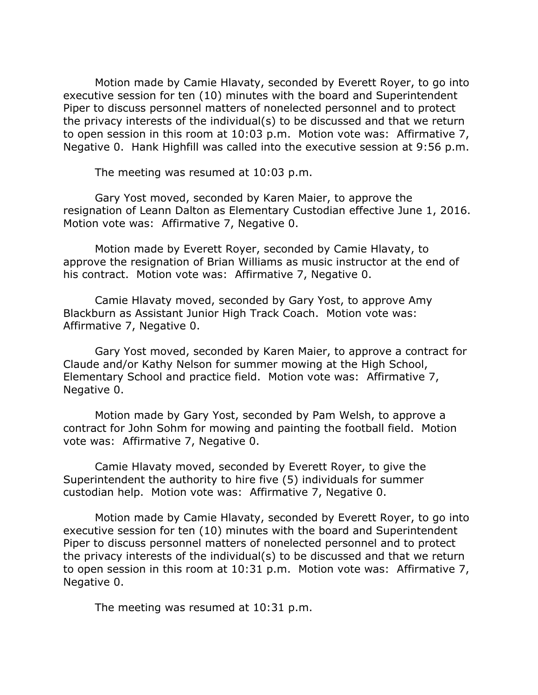Motion made by Camie Hlavaty, seconded by Everett Royer, to go into executive session for ten (10) minutes with the board and Superintendent Piper to discuss personnel matters of nonelected personnel and to protect the privacy interests of the individual(s) to be discussed and that we return to open session in this room at 10:03 p.m. Motion vote was: Affirmative 7, Negative 0. Hank Highfill was called into the executive session at 9:56 p.m.

The meeting was resumed at 10:03 p.m.

Gary Yost moved, seconded by Karen Maier, to approve the resignation of Leann Dalton as Elementary Custodian effective June 1, 2016. Motion vote was: Affirmative 7, Negative 0.

Motion made by Everett Royer, seconded by Camie Hlavaty, to approve the resignation of Brian Williams as music instructor at the end of his contract. Motion vote was: Affirmative 7, Negative 0.

Camie Hlavaty moved, seconded by Gary Yost, to approve Amy Blackburn as Assistant Junior High Track Coach. Motion vote was: Affirmative 7, Negative 0.

Gary Yost moved, seconded by Karen Maier, to approve a contract for Claude and/or Kathy Nelson for summer mowing at the High School, Elementary School and practice field. Motion vote was: Affirmative 7, Negative 0.

Motion made by Gary Yost, seconded by Pam Welsh, to approve a contract for John Sohm for mowing and painting the football field. Motion vote was: Affirmative 7, Negative 0.

Camie Hlavaty moved, seconded by Everett Royer, to give the Superintendent the authority to hire five (5) individuals for summer custodian help. Motion vote was: Affirmative 7, Negative 0.

Motion made by Camie Hlavaty, seconded by Everett Royer, to go into executive session for ten (10) minutes with the board and Superintendent Piper to discuss personnel matters of nonelected personnel and to protect the privacy interests of the individual(s) to be discussed and that we return to open session in this room at 10:31 p.m. Motion vote was: Affirmative 7, Negative 0.

The meeting was resumed at 10:31 p.m.